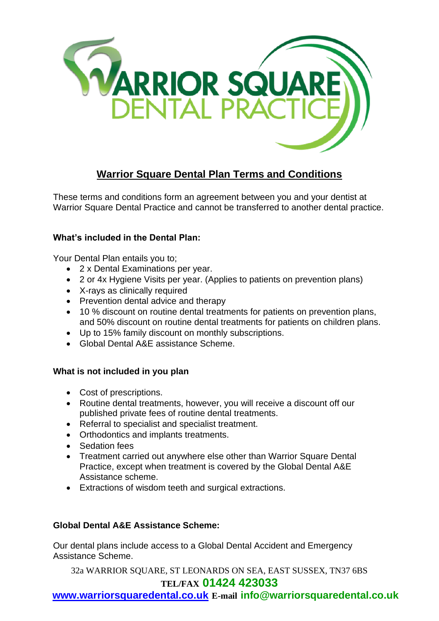

# **Warrior Square Dental Plan Terms and Conditions**

These terms and conditions form an agreement between you and your dentist at Warrior Square Dental Practice and cannot be transferred to another dental practice.

# **What's included in the Dental Plan:**

Your Dental Plan entails you to;

- 2 x Dental Examinations per year.
- 2 or 4x Hygiene Visits per year. (Applies to patients on prevention plans)
- X-rays as clinically required
- Prevention dental advice and therapy
- 10 % discount on routine dental treatments for patients on prevention plans, and 50% discount on routine dental treatments for patients on children plans.
- Up to 15% family discount on monthly subscriptions.
- Global Dental A&E assistance Scheme.

# **What is not included in you plan**

- Cost of prescriptions.
- Routine dental treatments, however, you will receive a discount off our published private fees of routine dental treatments.
- Referral to specialist and specialist treatment.
- Orthodontics and implants treatments.
- Sedation fees
- Treatment carried out anywhere else other than Warrior Square Dental Practice, except when treatment is covered by the Global Dental A&E Assistance scheme.
- Extractions of wisdom teeth and surgical extractions.

# **Global Dental A&E Assistance Scheme:**

Our dental plans include access to a Global Dental Accident and Emergency Assistance Scheme.

32a WARRIOR SQUARE, ST LEONARDS ON SEA, EAST SUSSEX, TN37 6BS

# **TEL/FAX 01424 423033**

**[www.warriorsquaredental.co.uk](http://www.warriorsquaredental.co.uk/) E-mail info@warriorsquaredental.co.uk**